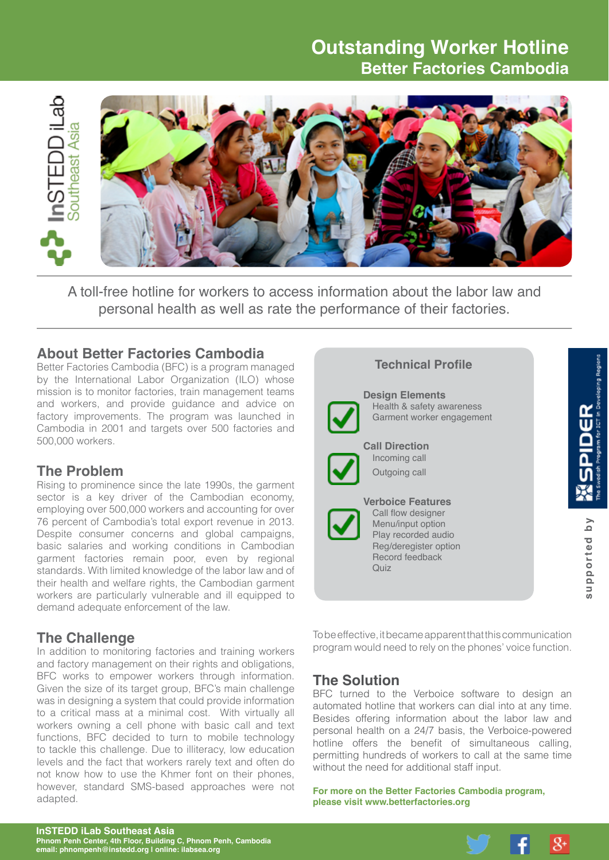# **Outstanding Worker Hotline Better Factories Cambodia**



A toll-free hotline for workers to access information about the labor law and personal health as well as rate the performance of their factories.

### **About Better Factories Cambodia**

Better Factories Cambodia (BFC) is a program managed by the International Labor Organization (ILO) whose mission is to monitor factories, train management teams and workers, and provide guidance and advice on factory improvements. The program was launched in Cambodia in 2001 and targets over 500 factories and 500,000 workers.

### **The Problem**

Rising to prominence since the late 1990s, the garment sector is a key driver of the Cambodian economy, employing over 500,000 workers and accounting for over 76 percent of Cambodia's total export revenue in 2013. Despite consumer concerns and global campaigns, basic salaries and working conditions in Cambodian garment factories remain poor, even by regional standards. With limited knowledge of the labor law and of their health and welfare rights, the Cambodian garment workers are particularly vulnerable and ill equipped to demand adequate enforcement of the law.

# **The Challenge**

In addition to monitoring factories and training workers and factory management on their rights and obligations, BFC works to empower workers through information. Given the size of its target group, BFC's main challenge was in designing a system that could provide information to a critical mass at a minimal cost. With virtually all workers owning a cell phone with basic call and text functions, BFC decided to turn to mobile technology to tackle this challenge. Due to illiteracy, low education levels and the fact that workers rarely text and often do not know how to use the Khmer font on their phones, however, standard SMS-based approaches were not adapted.

# **Technical Profile Design Elements** Health & safety awareness Garment worker engagement **Call Direction** Incoming call Outgoing call **Verboice Features** Call flow designer supported by **supported by** Menu/input option Play recorded audio Reg/deregister option Record feedback  $Q$ uiz

To be effective, it became apparent that this communication program would need to rely on the phones' voice function.

# **The Solution**

BFC turned to the Verboice software to design an automated hotline that workers can dial into at any time. Besides offering information about the labor law and personal health on a 24/7 basis, the Verboice-powered hotline offers the benefit of simultaneous calling, permitting hundreds of workers to call at the same time without the need for additional staff input.

**For more on the Better Factories Cambodia program, please visit [www.betterfactories.org](http://www.betterfactories.org)**